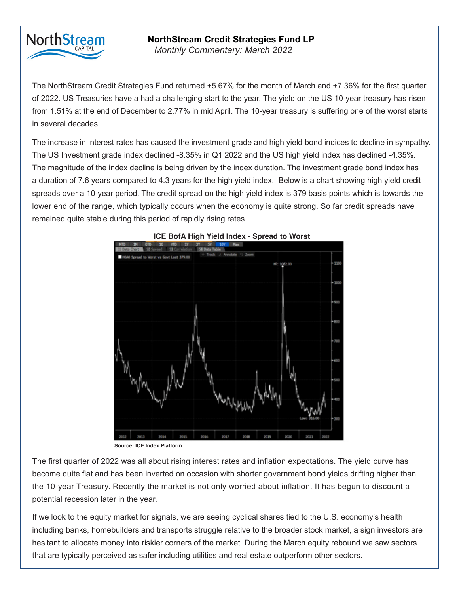

## **NorthStream Credit Strategies Fund LP**

*Monthly Commentary: March 2022* 

The NorthStream Credit Strategies Fund returned 0.86% for the month of September, as we continued to The NorthStream Credit Strategies Fund returned +5.67% for the month of March and +7.36% for the first quarter of 2022. US Treasuries have a had a challenging start to the year. The yield on the US 10-year treasury has risen from 1.51% at the end of December to 2.77% in mid April. The 10-year treasury is suffering one of the worst starts the several decades. We solve the Gibson bonds maturing 2024, as it is our policy not to the Gibson bonds maturing 2024, as it is our policy not to the Gibson bonds maturing 2024, as it is our policy not to the Gibson bond

 $\frac{1}{2}$  The computation of  $\frac{1}{2}$  rates and  $\frac{1}{2}$  rates and the U.S. bighter space of the deglined  $\frac{1}{2}$   $\frac{25\%}{25\%}$ The US Investment grade index declined -8.35% in Q1 2022 and the US high yield index has declined -4.35%.  $\,$ The magnitude of the index decline is being driven by the index duration. The investment grade bond index has a duration of 7.6 years compared to 4.3 years for the high yield index. Below is a chart showing high yield credit Our portfolio positioning has the flexibility to take advantage of market opportunities. Currently, we have lower end of the range, which typically occurs when the economy is quite strong. So far credit spreads have remained quite stable during this period of rapidly rising rates. The increase in interest rates has caused the investment grade and high yield bond indices to decline in sympathy. spreads over a 10-year period. The credit spread on the high yield index is 379 basis points which is towards the



## called / retired before 2021. These positions have the opportunity to benefit from call premiums as

**Source: ICE Index Platform**

The first quarter of 2022 was all about rising interest rates and inflation expectations. The yield curve has become quite flat and has been inverted on occasion with shorter government bond yields drifting higher than the 10-year Treasury. Recently the market is not only worried about inflation. It has begun to discount a potential recession later in the year.

If we look to the equity market for signals, we are seeing cyclical shares tied to the U.S. economy's health including banks, homebuilders and transports struggle relative to the broader stock market, a sign investors are hesitant to allocate money into riskier corners of the market. During the March equity rebound we saw sectors that are typically perceived as safer including utilities and real estate outperform other sectors.